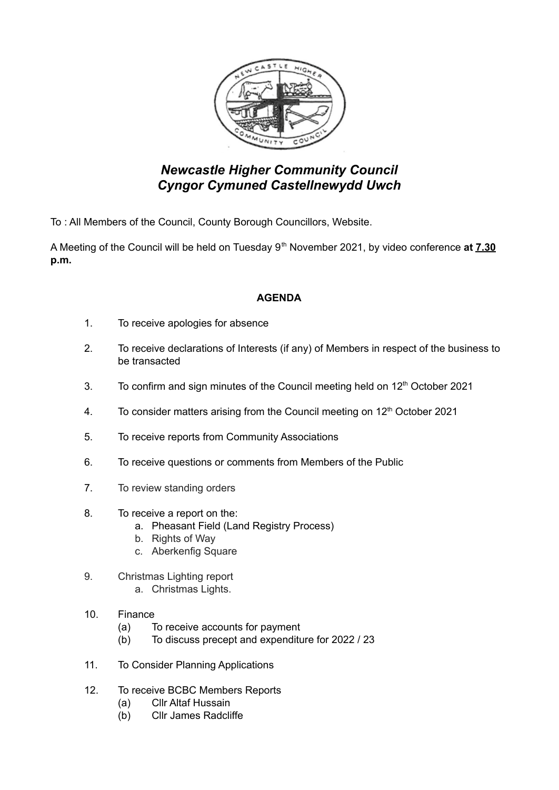

## *Newcastle Higher Community Council Cyngor Cymuned Castellnewydd Uwch*

To : All Members of the Council, County Borough Councillors, Website.

A Meeting of the Council will be held on Tuesday 9<sup>th</sup> November 2021, by video conference at **7.30 p.m.**

## **AGENDA**

- 1. To receive apologies for absence
- 2. To receive declarations of Interests (if any) of Members in respect of the business to be transacted
- 3. To confirm and sign minutes of the Council meeting held on  $12<sup>th</sup>$  October 2021
- 4. To consider matters arising from the Council meeting on  $12<sup>th</sup>$  October 2021
- 5. To receive reports from Community Associations
- 6. To receive questions or comments from Members of the Public
- 7. To review standing orders
- 8. To receive a report on the:
	- a. Pheasant Field (Land Registry Process)
	- b. Rights of Way
	- c. Aberkenfig Square
- 9. Christmas Lighting report
	- a. Christmas Lights.
- 10. Finance
	- (a) To receive accounts for payment
	- (b) To discuss precept and expenditure for 2022 / 23
- 11. To Consider Planning Applications
- 12. To receive BCBC Members Reports
	- (a) Cllr Altaf Hussain
	- (b) Cllr James Radcliffe